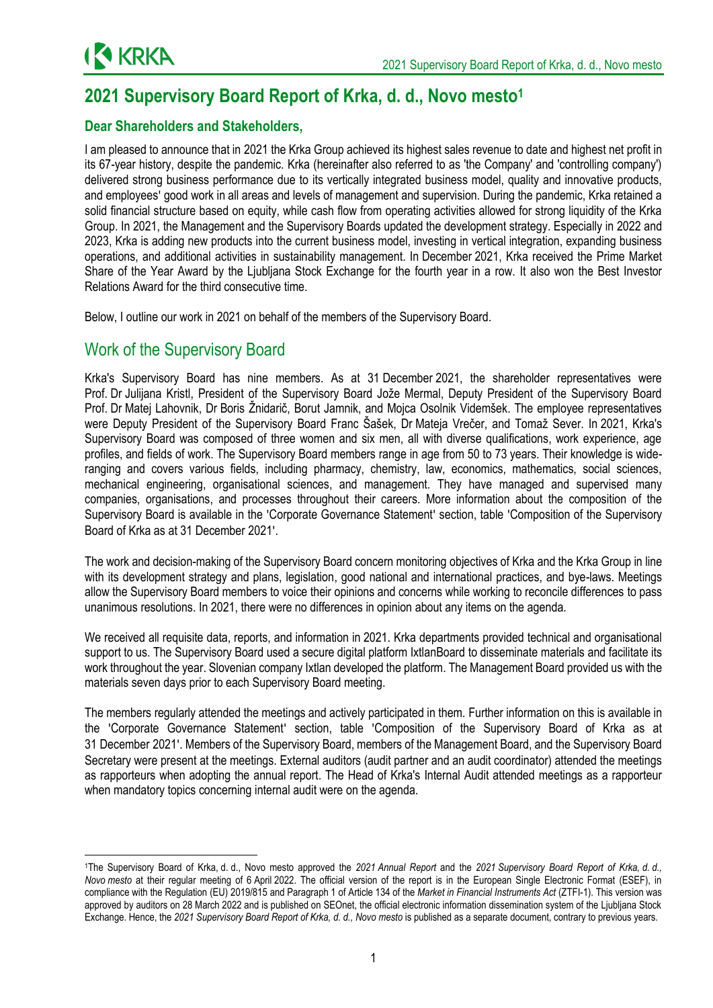

# **2021 Supervisory Board Report of Krka, d. d., Novo mesto<sup>1</sup>**

## **Dear Shareholders and Stakeholders,**

I am pleased to announce that in 2021 the Krka Group achieved its highest sales revenue to date and highest net profit in its 67-year history, despite the pandemic. Krka (hereinafter also referred to as 'the Company' and 'controlling company') delivered strong business performance due to its vertically integrated business model, quality and innovative products, and employees' good work in all areas and levels of management and supervision. During the pandemic, Krka retained a solid financial structure based on equity, while cash flow from operating activities allowed for strong liquidity of the Krka Group. In 2021, the Management and the Supervisory Boards updated the development strategy. Especially in 2022 and 2023, Krka is adding new products into the current business model, investing in vertical integration, expanding business operations, and additional activities in sustainability management. In December 2021, Krka received the Prime Market Share of the Year Award by the Ljubljana Stock Exchange for the fourth year in a row. It also won the Best Investor Relations Award for the third consecutive time.

Below, I outline our work in 2021 on behalf of the members of the Supervisory Board.

## Work of the Supervisory Board

**.** 

Krka's Supervisory Board has nine members. As at 31 December 2021, the shareholder representatives were Prof. Dr Julijana Kristl, President of the Supervisory Board Jože Mermal, Deputy President of the Supervisory Board Prof. Dr Matej Lahovnik, Dr Boris Žnidarič, Borut Jamnik, and Mojca Osolnik Videmšek. The employee representatives were Deputy President of the Supervisory Board Franc Šašek, Dr Mateja Vrečer, and Tomaž Sever. In 2021, Krka's Supervisory Board was composed of three women and six men, all with diverse qualifications, work experience, age profiles, and fields of work. The Supervisory Board members range in age from 50 to 73 years. Their knowledge is wideranging and covers various fields, including pharmacy, chemistry, law, economics, mathematics, social sciences, mechanical engineering, organisational sciences, and management. They have managed and supervised many companies, organisations, and processes throughout their careers. More information about the composition of the Supervisory Board is available in the 'Corporate Governance Statement' section, table 'Composition of the Supervisory Board of Krka as at 31 December 2021'.

The work and decision-making of the Supervisory Board concern monitoring objectives of Krka and the Krka Group in line with its development strategy and plans, legislation, good national and international practices, and bye-laws. Meetings allow the Supervisory Board members to voice their opinions and concerns while working to reconcile differences to pass unanimous resolutions. In 2021, there were no differences in opinion about any items on the agenda.

We received all requisite data, reports, and information in 2021. Krka departments provided technical and organisational support to us. The Supervisory Board used a secure digital platform IxtlanBoard to disseminate materials and facilitate its work throughout the year. Slovenian company Ixtlan developed the platform. The Management Board provided us with the materials seven days prior to each Supervisory Board meeting.

The members regularly attended the meetings and actively participated in them. Further information on this is available in the 'Corporate Governance Statement' section, table 'Composition of the Supervisory Board of Krka as at 31 December 2021'. Members of the Supervisory Board, members of the Management Board, and the Supervisory Board Secretary were present at the meetings. External auditors (audit partner and an audit coordinator) attended the meetings as rapporteurs when adopting the annual report. The Head of Krka's Internal Audit attended meetings as a rapporteur when mandatory topics concerning internal audit were on the agenda.

<sup>1</sup>The Supervisory Board of Krka, d. d., Novo mesto approved the *2021 Annual Report* and the *2021 Supervisory Board Report of Krka, d. d., Novo mesto* at their regular meeting of 6 April 2022. The official version of the report is in the European Single Electronic Format (ESEF), in compliance with the Regulation (EU) 2019/815 and Paragraph 1 of Article 134 of the *Market in Financial Instruments Act* (ZTFI-1). This version was approved by auditors on 28 March 2022 and is published on SEOnet, the official electronic information dissemination system of the Ljubljana Stock Exchange. Hence, the 2021 Supervisory Board Report of Krka, d. d., Novo mesto is published as a separate document, contrary to previous years.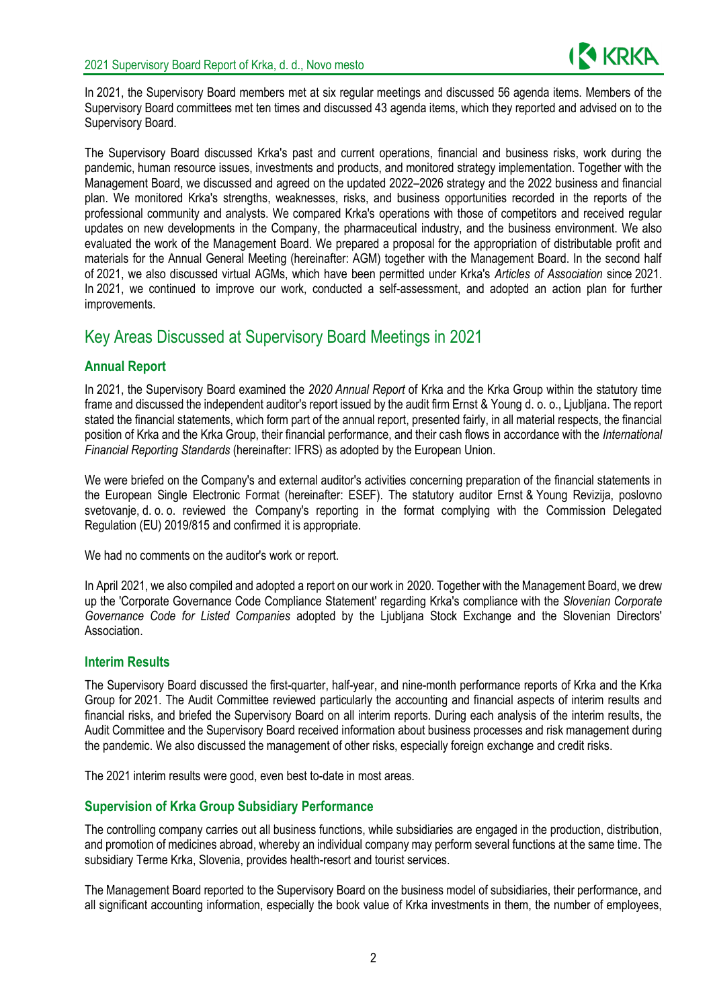

In 2021, the Supervisory Board members met at six regular meetings and discussed 56 agenda items. Members of the Supervisory Board committees met ten times and discussed 43 agenda items, which they reported and advised on to the Supervisory Board.

The Supervisory Board discussed Krka's past and current operations, financial and business risks, work during the pandemic, human resource issues, investments and products, and monitored strategy implementation. Together with the Management Board, we discussed and agreed on the updated 2022–2026 strategy and the 2022 business and financial plan. We monitored Krka's strengths, weaknesses, risks, and business opportunities recorded in the reports of the professional community and analysts. We compared Krka's operations with those of competitors and received regular updates on new developments in the Company, the pharmaceutical industry, and the business environment. We also evaluated the work of the Management Board. We prepared a proposal for the appropriation of distributable profit and materials for the Annual General Meeting (hereinafter: AGM) together with the Management Board. In the second half of 2021, we also discussed virtual AGMs, which have been permitted under Krka's *Articles of Association* since 2021. In 2021, we continued to improve our work, conducted a self-assessment, and adopted an action plan for further improvements.

## Key Areas Discussed at Supervisory Board Meetings in 2021

### **Annual Report**

In 2021, the Supervisory Board examined the *2020 Annual Report* of Krka and the Krka Group within the statutory time frame and discussed the independent auditor's report issued by the audit firm Ernst & Young d. o. o., Ljubljana. The report stated the financial statements, which form part of the annual report, presented fairly, in all material respects, the financial position of Krka and the Krka Group, their financial performance, and their cash flows in accordance with the *International Financial Reporting Standards* (hereinafter: IFRS) as adopted by the European Union.

We were briefed on the Company's and external auditor's activities concerning preparation of the financial statements in the European Single Electronic Format (hereinafter: ESEF). The statutory auditor Ernst & Young Revizija, poslovno svetovanje, d. o. o. reviewed the Company's reporting in the format complying with the Commission Delegated Regulation (EU) 2019/815 and confirmed it is appropriate.

We had no comments on the auditor's work or report.

In April 2021, we also compiled and adopted a report on our work in 2020. Together with the Management Board, we drew up the 'Corporate Governance Code Compliance Statement' regarding Krka's compliance with the *Slovenian Corporate Governance Code for Listed Companies* adopted by the Ljubljana Stock Exchange and the Slovenian Directors' Association.

#### **Interim Results**

The Supervisory Board discussed the first-quarter, half-year, and nine-month performance reports of Krka and the Krka Group for 2021. The Audit Committee reviewed particularly the accounting and financial aspects of interim results and financial risks, and briefed the Supervisory Board on all interim reports. During each analysis of the interim results, the Audit Committee and the Supervisory Board received information about business processes and risk management during the pandemic. We also discussed the management of other risks, especially foreign exchange and credit risks.

The 2021 interim results were good, even best to-date in most areas.

### **Supervision of Krka Group Subsidiary Performance**

The controlling company carries out all business functions, while subsidiaries are engaged in the production, distribution, and promotion of medicines abroad, whereby an individual company may perform several functions at the same time. The subsidiary Terme Krka, Slovenia, provides health-resort and tourist services.

The Management Board reported to the Supervisory Board on the business model of subsidiaries, their performance, and all significant accounting information, especially the book value of Krka investments in them, the number of employees,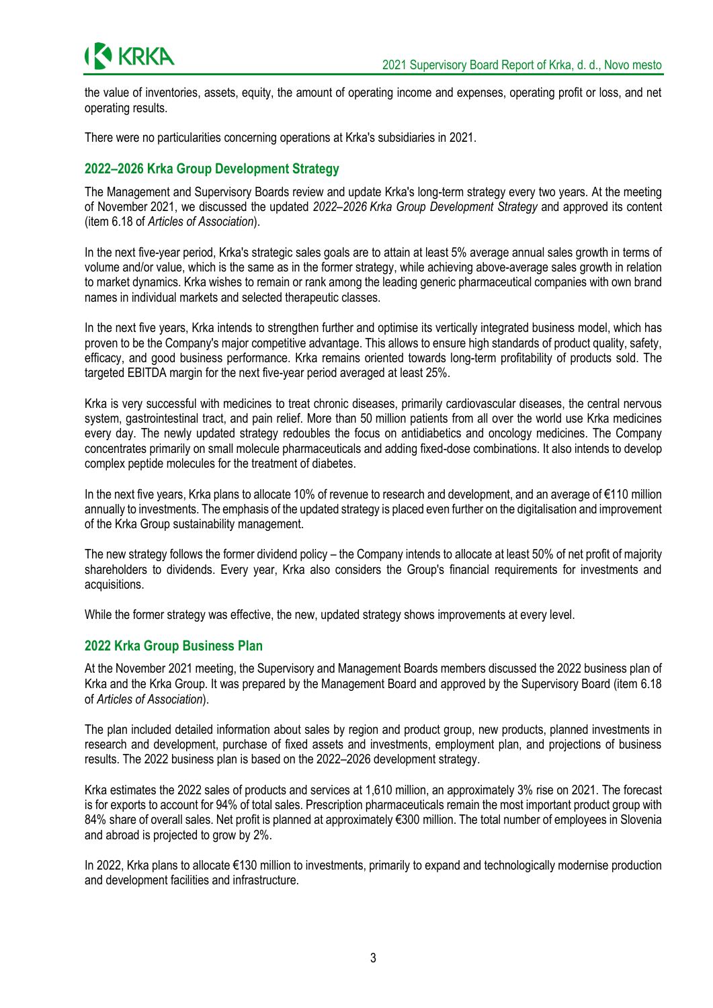the value of inventories, assets, equity, the amount of operating income and expenses, operating profit or loss, and net operating results.

There were no particularities concerning operations at Krka's subsidiaries in 2021.

## **2022–2026 Krka Group Development Strategy**

The Management and Supervisory Boards review and update Krka's long-term strategy every two years. At the meeting of November 2021, we discussed the updated *2022–2026 Krka Group Development Strategy* and approved its content (item 6.18 of *Articles of Association*).

In the next five-year period, Krka's strategic sales goals are to attain at least 5% average annual sales growth in terms of volume and/or value, which is the same as in the former strategy, while achieving above-average sales growth in relation to market dynamics. Krka wishes to remain or rank among the leading generic pharmaceutical companies with own brand names in individual markets and selected therapeutic classes.

In the next five years, Krka intends to strengthen further and optimise its vertically integrated business model, which has proven to be the Company's major competitive advantage. This allows to ensure high standards of product quality, safety, efficacy, and good business performance. Krka remains oriented towards long-term profitability of products sold. The targeted EBITDA margin for the next five-year period averaged at least 25%.

Krka is very successful with medicines to treat chronic diseases, primarily cardiovascular diseases, the central nervous system, gastrointestinal tract, and pain relief. More than 50 million patients from all over the world use Krka medicines every day. The newly updated strategy redoubles the focus on antidiabetics and oncology medicines. The Company concentrates primarily on small molecule pharmaceuticals and adding fixed-dose combinations. It also intends to develop complex peptide molecules for the treatment of diabetes.

In the next five years, Krka plans to allocate 10% of revenue to research and development, and an average of €110 million annually to investments. The emphasis of the updated strategy is placed even further on the digitalisation and improvement of the Krka Group sustainability management.

The new strategy follows the former dividend policy – the Company intends to allocate at least 50% of net profit of majority shareholders to dividends. Every year, Krka also considers the Group's financial requirements for investments and acquisitions.

While the former strategy was effective, the new, updated strategy shows improvements at every level.

#### **2022 Krka Group Business Plan**

At the November 2021 meeting, the Supervisory and Management Boards members discussed the 2022 business plan of Krka and the Krka Group. It was prepared by the Management Board and approved by the Supervisory Board (item 6.18 of *Articles of Association*).

The plan included detailed information about sales by region and product group, new products, planned investments in research and development, purchase of fixed assets and investments, employment plan, and projections of business results. The 2022 business plan is based on the 2022–2026 development strategy.

Krka estimates the 2022 sales of products and services at 1,610 million, an approximately 3% rise on 2021. The forecast is for exports to account for 94% of total sales. Prescription pharmaceuticals remain the most important product group with 84% share of overall sales. Net profit is planned at approximately €300 million. The total number of employees in Slovenia and abroad is projected to grow by 2%.

In 2022, Krka plans to allocate €130 million to investments, primarily to expand and technologically modernise production and development facilities and infrastructure.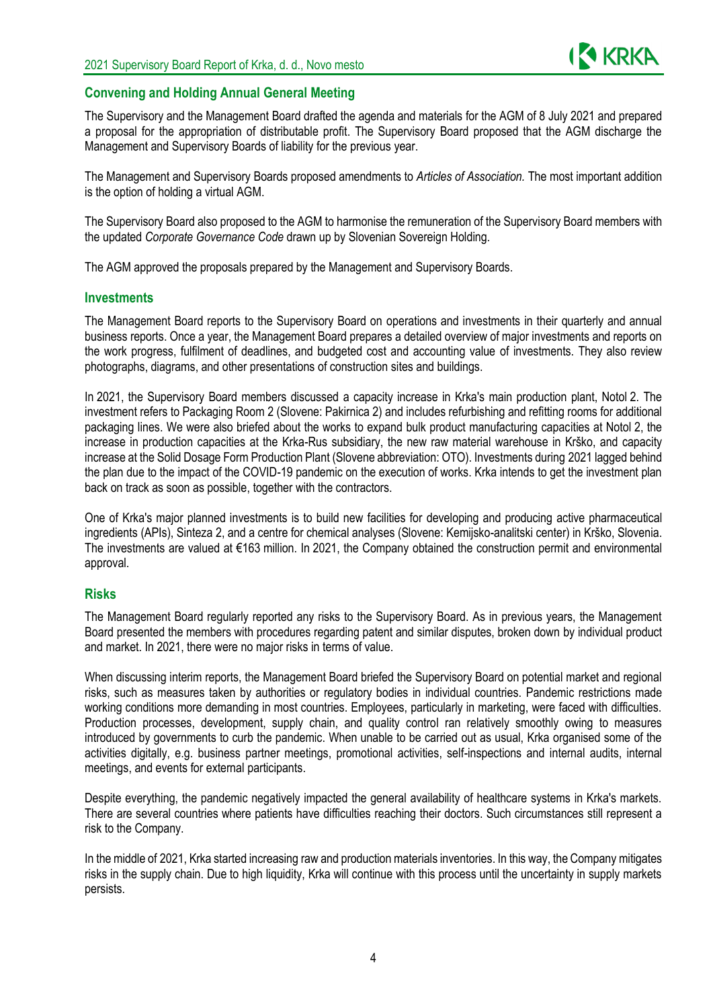

### **Convening and Holding Annual General Meeting**

The Supervisory and the Management Board drafted the agenda and materials for the AGM of 8 July 2021 and prepared a proposal for the appropriation of distributable profit. The Supervisory Board proposed that the AGM discharge the Management and Supervisory Boards of liability for the previous year.

The Management and Supervisory Boards proposed amendments to *Articles of Association.* The most important addition is the option of holding a virtual AGM.

The Supervisory Board also proposed to the AGM to harmonise the remuneration of the Supervisory Board members with the updated *Corporate Governance Code* drawn up by Slovenian Sovereign Holding*.*

The AGM approved the proposals prepared by the Management and Supervisory Boards.

#### **Investments**

The Management Board reports to the Supervisory Board on operations and investments in their quarterly and annual business reports. Once a year, the Management Board prepares a detailed overview of major investments and reports on the work progress, fulfilment of deadlines, and budgeted cost and accounting value of investments. They also review photographs, diagrams, and other presentations of construction sites and buildings.

In 2021, the Supervisory Board members discussed a capacity increase in Krka's main production plant, Notol 2. The investment refers to Packaging Room 2 (Slovene: Pakirnica 2) and includes refurbishing and refitting rooms for additional packaging lines. We were also briefed about the works to expand bulk product manufacturing capacities at Notol 2, the increase in production capacities at the Krka-Rus subsidiary, the new raw material warehouse in Krško, and capacity increase at the Solid Dosage Form Production Plant (Slovene abbreviation: OTO). Investments during 2021 lagged behind the plan due to the impact of the COVID-19 pandemic on the execution of works. Krka intends to get the investment plan back on track as soon as possible, together with the contractors.

One of Krka's major planned investments is to build new facilities for developing and producing active pharmaceutical ingredients (APIs), Sinteza 2, and a centre for chemical analyses (Slovene: Kemijsko-analitski center) in Krško, Slovenia. The investments are valued at €163 million. In 2021, the Company obtained the construction permit and environmental approval.

#### **Risks**

The Management Board regularly reported any risks to the Supervisory Board. As in previous years, the Management Board presented the members with procedures regarding patent and similar disputes, broken down by individual product and market. In 2021, there were no major risks in terms of value.

When discussing interim reports, the Management Board briefed the Supervisory Board on potential market and regional risks, such as measures taken by authorities or regulatory bodies in individual countries. Pandemic restrictions made working conditions more demanding in most countries. Employees, particularly in marketing, were faced with difficulties. Production processes, development, supply chain, and quality control ran relatively smoothly owing to measures introduced by governments to curb the pandemic. When unable to be carried out as usual, Krka organised some of the activities digitally, e.g. business partner meetings, promotional activities, self-inspections and internal audits, internal meetings, and events for external participants.

Despite everything, the pandemic negatively impacted the general availability of healthcare systems in Krka's markets. There are several countries where patients have difficulties reaching their doctors. Such circumstances still represent a risk to the Company.

In the middle of 2021, Krka started increasing raw and production materials inventories. In this way, the Company mitigates risks in the supply chain. Due to high liquidity, Krka will continue with this process until the uncertainty in supply markets persists.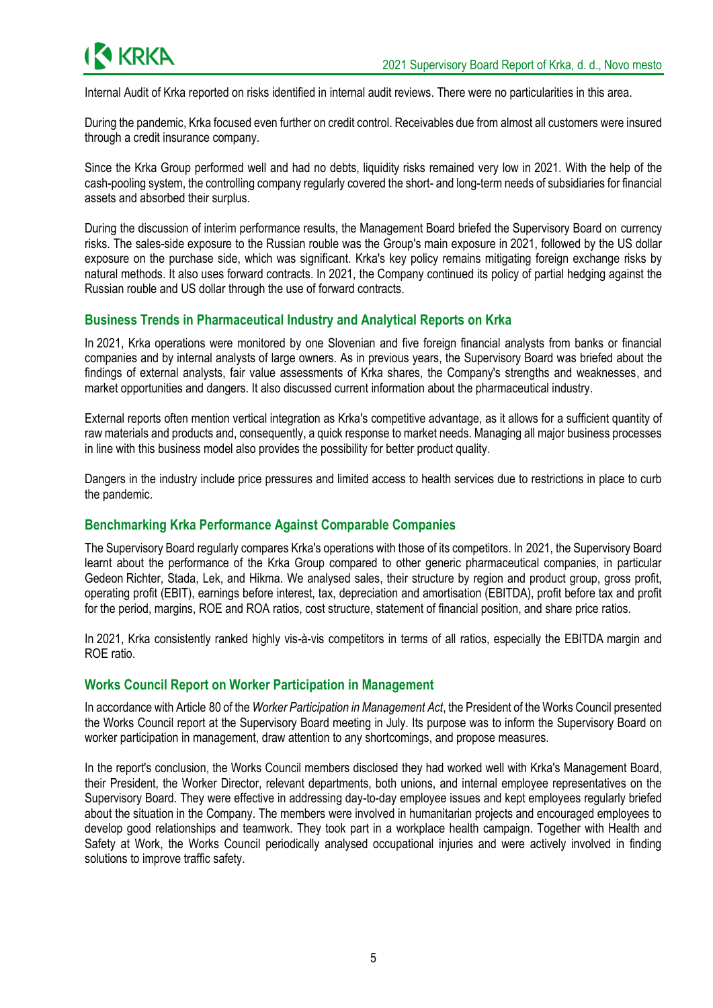

Internal Audit of Krka reported on risks identified in internal audit reviews. There were no particularities in this area.

During the pandemic, Krka focused even further on credit control. Receivables due from almost all customers were insured through a credit insurance company.

Since the Krka Group performed well and had no debts, liquidity risks remained very low in 2021. With the help of the cash-pooling system, the controlling company regularly covered the short- and long-term needs of subsidiaries for financial assets and absorbed their surplus.

During the discussion of interim performance results, the Management Board briefed the Supervisory Board on currency risks. The sales-side exposure to the Russian rouble was the Group's main exposure in 2021, followed by the US dollar exposure on the purchase side, which was significant. Krka's key policy remains mitigating foreign exchange risks by natural methods. It also uses forward contracts. In 2021, the Company continued its policy of partial hedging against the Russian rouble and US dollar through the use of forward contracts.

## **Business Trends in Pharmaceutical Industry and Analytical Reports on Krka**

In 2021, Krka operations were monitored by one Slovenian and five foreign financial analysts from banks or financial companies and by internal analysts of large owners. As in previous years, the Supervisory Board was briefed about the findings of external analysts, fair value assessments of Krka shares, the Company's strengths and weaknesses, and market opportunities and dangers. It also discussed current information about the pharmaceutical industry.

External reports often mention vertical integration as Krka's competitive advantage, as it allows for a sufficient quantity of raw materials and products and, consequently, a quick response to market needs. Managing all major business processes in line with this business model also provides the possibility for better product quality.

Dangers in the industry include price pressures and limited access to health services due to restrictions in place to curb the pandemic.

#### **Benchmarking Krka Performance Against Comparable Companies**

The Supervisory Board regularly compares Krka's operations with those of its competitors. In 2021, the Supervisory Board learnt about the performance of the Krka Group compared to other generic pharmaceutical companies, in particular Gedeon Richter, Stada, Lek, and Hikma. We analysed sales, their structure by region and product group, gross profit, operating profit (EBIT), earnings before interest, tax, depreciation and amortisation (EBITDA), profit before tax and profit for the period, margins, ROE and ROA ratios, cost structure, statement of financial position, and share price ratios.

In 2021, Krka consistently ranked highly vis-à-vis competitors in terms of all ratios, especially the EBITDA margin and ROE ratio.

#### **Works Council Report on Worker Participation in Management**

In accordance with Article 80 of the *Worker Participation in Management Act*, the President of the Works Council presented the Works Council report at the Supervisory Board meeting in July. Its purpose was to inform the Supervisory Board on worker participation in management, draw attention to any shortcomings, and propose measures.

In the report's conclusion, the Works Council members disclosed they had worked well with Krka's Management Board, their President, the Worker Director, relevant departments, both unions, and internal employee representatives on the Supervisory Board. They were effective in addressing day-to-day employee issues and kept employees regularly briefed about the situation in the Company. The members were involved in humanitarian projects and encouraged employees to develop good relationships and teamwork. They took part in a workplace health campaign. Together with Health and Safety at Work, the Works Council periodically analysed occupational injuries and were actively involved in finding solutions to improve traffic safety.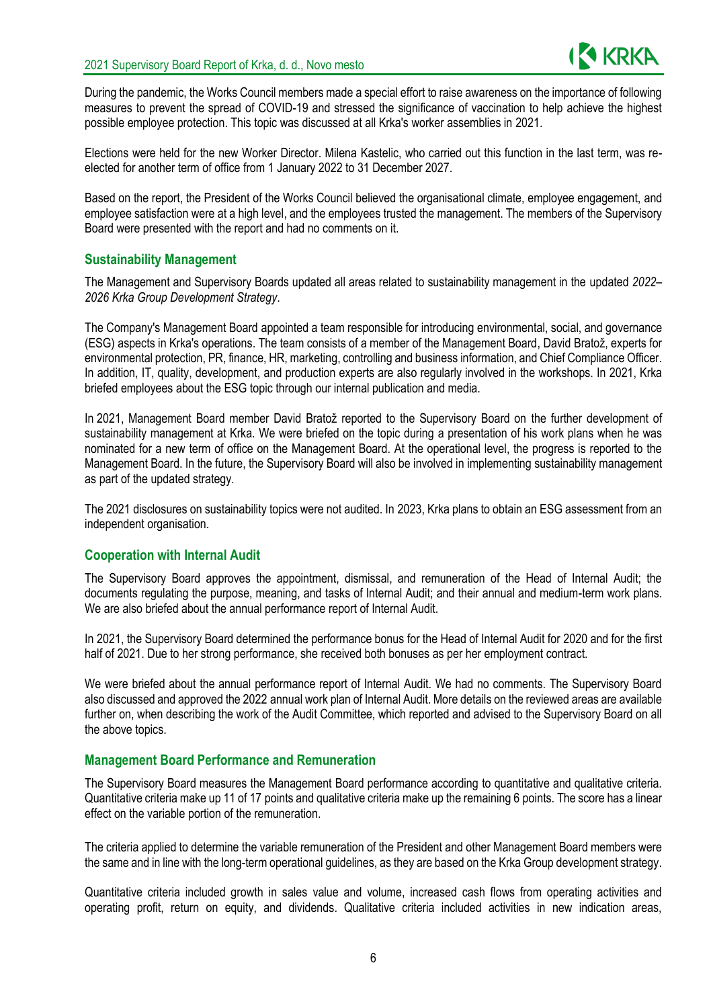

During the pandemic, the Works Council members made a special effort to raise awareness on the importance of following measures to prevent the spread of COVID-19 and stressed the significance of vaccination to help achieve the highest possible employee protection. This topic was discussed at all Krka's worker assemblies in 2021.

Elections were held for the new Worker Director. Milena Kastelic, who carried out this function in the last term, was reelected for another term of office from 1 January 2022 to 31 December 2027.

Based on the report, the President of the Works Council believed the organisational climate, employee engagement, and employee satisfaction were at a high level, and the employees trusted the management. The members of the Supervisory Board were presented with the report and had no comments on it.

#### **Sustainability Management**

The Management and Supervisory Boards updated all areas related to sustainability management in the updated *2022– 2026 Krka Group Development Strategy*.

The Company's Management Board appointed a team responsible for introducing environmental, social, and governance (ESG) aspects in Krka's operations. The team consists of a member of the Management Board, David Bratož, experts for environmental protection, PR, finance, HR, marketing, controlling and business information, and Chief Compliance Officer. In addition, IT, quality, development, and production experts are also regularly involved in the workshops. In 2021, Krka briefed employees about the ESG topic through our internal publication and media.

In 2021, Management Board member David Bratož reported to the Supervisory Board on the further development of sustainability management at Krka. We were briefed on the topic during a presentation of his work plans when he was nominated for a new term of office on the Management Board. At the operational level, the progress is reported to the Management Board. In the future, the Supervisory Board will also be involved in implementing sustainability management as part of the updated strategy.

The 2021 disclosures on sustainability topics were not audited. In 2023, Krka plans to obtain an ESG assessment from an independent organisation.

#### **Cooperation with Internal Audit**

The Supervisory Board approves the appointment, dismissal, and remuneration of the Head of Internal Audit; the documents regulating the purpose, meaning, and tasks of Internal Audit; and their annual and medium-term work plans. We are also briefed about the annual performance report of Internal Audit.

In 2021, the Supervisory Board determined the performance bonus for the Head of Internal Audit for 2020 and for the first half of 2021. Due to her strong performance, she received both bonuses as per her employment contract.

We were briefed about the annual performance report of Internal Audit. We had no comments. The Supervisory Board also discussed and approved the 2022 annual work plan of Internal Audit. More details on the reviewed areas are available further on, when describing the work of the Audit Committee, which reported and advised to the Supervisory Board on all the above topics.

#### **Management Board Performance and Remuneration**

The Supervisory Board measures the Management Board performance according to quantitative and qualitative criteria. Quantitative criteria make up 11 of 17 points and qualitative criteria make up the remaining 6 points. The score has a linear effect on the variable portion of the remuneration.

The criteria applied to determine the variable remuneration of the President and other Management Board members were the same and in line with the long-term operational guidelines, as they are based on the Krka Group development strategy.

Quantitative criteria included growth in sales value and volume, increased cash flows from operating activities and operating profit, return on equity, and dividends. Qualitative criteria included activities in new indication areas,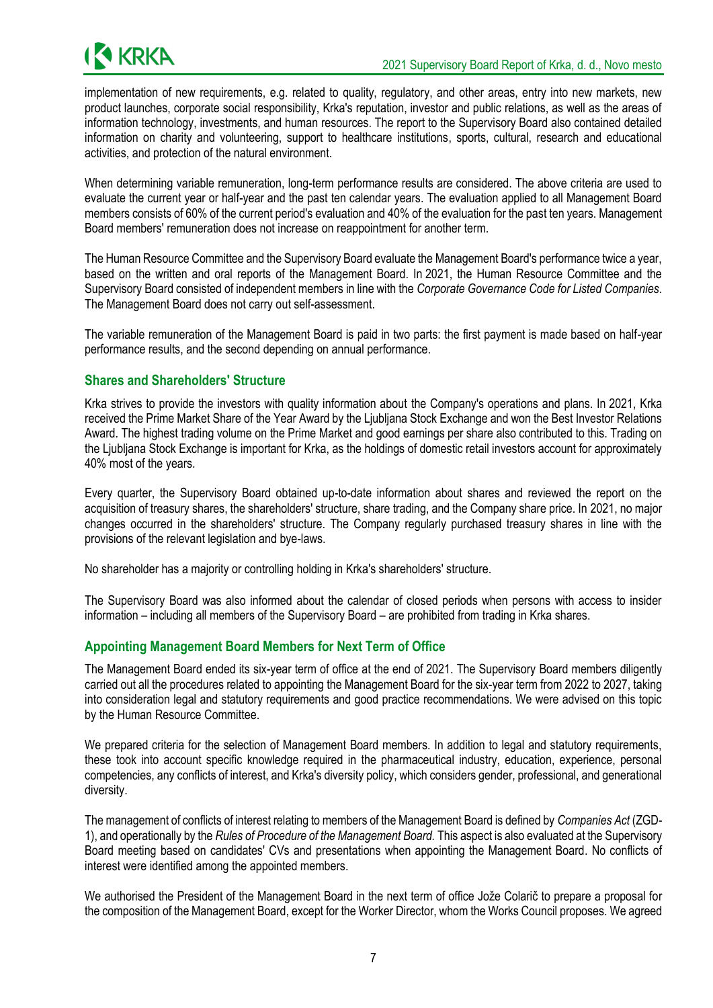implementation of new requirements, e.g. related to quality, regulatory, and other areas, entry into new markets, new product launches, corporate social responsibility, Krka's reputation, investor and public relations, as well as the areas of information technology, investments, and human resources. The report to the Supervisory Board also contained detailed information on charity and volunteering, support to healthcare institutions, sports, cultural, research and educational activities, and protection of the natural environment.

When determining variable remuneration, long-term performance results are considered. The above criteria are used to evaluate the current year or half-year and the past ten calendar years. The evaluation applied to all Management Board members consists of 60% of the current period's evaluation and 40% of the evaluation for the past ten years. Management Board members' remuneration does not increase on reappointment for another term.

The Human Resource Committee and the Supervisory Board evaluate the Management Board's performance twice a year, based on the written and oral reports of the Management Board. In 2021, the Human Resource Committee and the Supervisory Board consisted of independent members in line with the *Corporate Governance Code for Listed Companies*. The Management Board does not carry out self-assessment.

The variable remuneration of the Management Board is paid in two parts: the first payment is made based on half-year performance results, and the second depending on annual performance.

### **Shares and Shareholders' Structure**

Krka strives to provide the investors with quality information about the Company's operations and plans. In 2021, Krka received the Prime Market Share of the Year Award by the Ljubljana Stock Exchange and won the Best Investor Relations Award. The highest trading volume on the Prime Market and good earnings per share also contributed to this. Trading on the Ljubljana Stock Exchange is important for Krka, as the holdings of domestic retail investors account for approximately 40% most of the years.

Every quarter, the Supervisory Board obtained up-to-date information about shares and reviewed the report on the acquisition of treasury shares, the shareholders' structure, share trading, and the Company share price. In 2021, no major changes occurred in the shareholders' structure. The Company regularly purchased treasury shares in line with the provisions of the relevant legislation and bye-laws.

No shareholder has a majority or controlling holding in Krka's shareholders' structure.

The Supervisory Board was also informed about the calendar of closed periods when persons with access to insider information – including all members of the Supervisory Board – are prohibited from trading in Krka shares.

## **Appointing Management Board Members for Next Term of Office**

The Management Board ended its six-year term of office at the end of 2021. The Supervisory Board members diligently carried out all the procedures related to appointing the Management Board for the six-year term from 2022 to 2027, taking into consideration legal and statutory requirements and good practice recommendations. We were advised on this topic by the Human Resource Committee.

We prepared criteria for the selection of Management Board members. In addition to legal and statutory requirements, these took into account specific knowledge required in the pharmaceutical industry, education, experience, personal competencies, any conflicts of interest, and Krka's diversity policy, which considers gender, professional, and generational diversity.

The management of conflicts of interest relating to members of the Management Board is defined by *Companies Act* (ZGD-1), and operationally by the *Rules of Procedure of the Management Board.* This aspect is also evaluated at the Supervisory Board meeting based on candidates' CVs and presentations when appointing the Management Board. No conflicts of interest were identified among the appointed members.

We authorised the President of the Management Board in the next term of office Jože Colarič to prepare a proposal for the composition of the Management Board, except for the Worker Director, whom the Works Council proposes. We agreed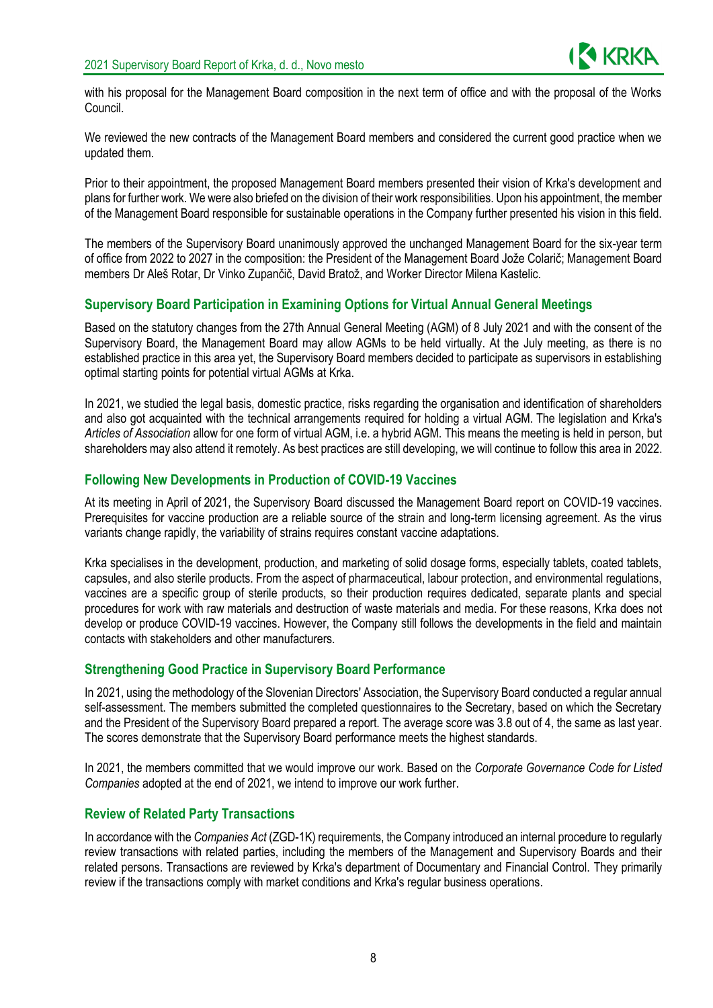with his proposal for the Management Board composition in the next term of office and with the proposal of the Works Council.

We reviewed the new contracts of the Management Board members and considered the current good practice when we updated them.

Prior to their appointment, the proposed Management Board members presented their vision of Krka's development and plans for further work. We were also briefed on the division of their work responsibilities. Upon his appointment, the member of the Management Board responsible for sustainable operations in the Company further presented his vision in this field.

The members of the Supervisory Board unanimously approved the unchanged Management Board for the six-year term of office from 2022 to 2027 in the composition: the President of the Management Board Jože Colarič; Management Board members Dr Aleš Rotar, Dr Vinko Zupančič, David Bratož, and Worker Director Milena Kastelic.

### **Supervisory Board Participation in Examining Options for Virtual Annual General Meetings**

Based on the statutory changes from the 27th Annual General Meeting (AGM) of 8 July 2021 and with the consent of the Supervisory Board, the Management Board may allow AGMs to be held virtually. At the July meeting, as there is no established practice in this area yet, the Supervisory Board members decided to participate as supervisors in establishing optimal starting points for potential virtual AGMs at Krka.

In 2021, we studied the legal basis, domestic practice, risks regarding the organisation and identification of shareholders and also got acquainted with the technical arrangements required for holding a virtual AGM. The legislation and Krka's *Articles of Association* allow for one form of virtual AGM, i.e. a hybrid AGM. This means the meeting is held in person, but shareholders may also attend it remotely. As best practices are still developing, we will continue to follow this area in 2022.

#### **Following New Developments in Production of COVID-19 Vaccines**

At its meeting in April of 2021, the Supervisory Board discussed the Management Board report on COVID-19 vaccines. Prerequisites for vaccine production are a reliable source of the strain and long-term licensing agreement. As the virus variants change rapidly, the variability of strains requires constant vaccine adaptations.

Krka specialises in the development, production, and marketing of solid dosage forms, especially tablets, coated tablets, capsules, and also sterile products. From the aspect of pharmaceutical, labour protection, and environmental regulations, vaccines are a specific group of sterile products, so their production requires dedicated, separate plants and special procedures for work with raw materials and destruction of waste materials and media. For these reasons, Krka does not develop or produce COVID-19 vaccines. However, the Company still follows the developments in the field and maintain contacts with stakeholders and other manufacturers.

#### **Strengthening Good Practice in Supervisory Board Performance**

In 2021, using the methodology of the Slovenian Directors' Association, the Supervisory Board conducted a regular annual self-assessment. The members submitted the completed questionnaires to the Secretary, based on which the Secretary and the President of the Supervisory Board prepared a report. The average score was 3.8 out of 4, the same as last year. The scores demonstrate that the Supervisory Board performance meets the highest standards.

In 2021, the members committed that we would improve our work. Based on the *Corporate Governance Code for Listed Companies* adopted at the end of 2021, we intend to improve our work further.

#### **Review of Related Party Transactions**

In accordance with the *Companies Act* (ZGD-1K) requirements, the Company introduced an internal procedure to regularly review transactions with related parties, including the members of the Management and Supervisory Boards and their related persons. Transactions are reviewed by Krka's department of Documentary and Financial Control. They primarily review if the transactions comply with market conditions and Krka's regular business operations.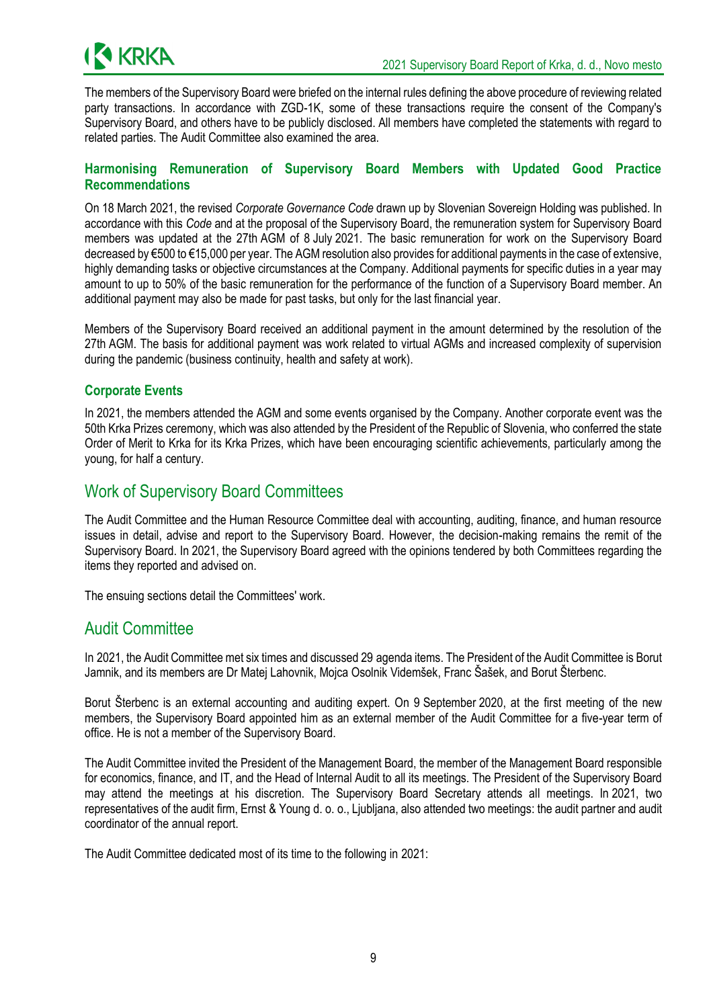

The members of the Supervisory Board were briefed on the internal rules defining the above procedure of reviewing related party transactions. In accordance with ZGD-1K, some of these transactions require the consent of the Company's Supervisory Board, and others have to be publicly disclosed. All members have completed the statements with regard to related parties. The Audit Committee also examined the area.

### **Harmonising Remuneration of Supervisory Board Members with Updated Good Practice Recommendations**

On 18 March 2021, the revised *Corporate Governance Code* drawn up by Slovenian Sovereign Holding was published. In accordance with this *Code* and at the proposal of the Supervisory Board, the remuneration system for Supervisory Board members was updated at the 27th AGM of 8 July 2021. The basic remuneration for work on the Supervisory Board decreased by €500 to €15,000 per year. The AGM resolution also provides for additional payments in the case of extensive, highly demanding tasks or objective circumstances at the Company. Additional payments for specific duties in a vear may amount to up to 50% of the basic remuneration for the performance of the function of a Supervisory Board member. An additional payment may also be made for past tasks, but only for the last financial year.

Members of the Supervisory Board received an additional payment in the amount determined by the resolution of the 27th AGM. The basis for additional payment was work related to virtual AGMs and increased complexity of supervision during the pandemic (business continuity, health and safety at work).

### **Corporate Events**

In 2021, the members attended the AGM and some events organised by the Company. Another corporate event was the 50th Krka Prizes ceremony, which was also attended by the President of the Republic of Slovenia, who conferred the state Order of Merit to Krka for its Krka Prizes, which have been encouraging scientific achievements, particularly among the young, for half a century.

## Work of Supervisory Board Committees

The Audit Committee and the Human Resource Committee deal with accounting, auditing, finance, and human resource issues in detail, advise and report to the Supervisory Board. However, the decision-making remains the remit of the Supervisory Board. In 2021, the Supervisory Board agreed with the opinions tendered by both Committees regarding the items they reported and advised on.

The ensuing sections detail the Committees' work.

## Audit Committee

In 2021, the Audit Committee met six times and discussed 29 agenda items. The President of the Audit Committee is Borut Jamnik, and its members are Dr Matej Lahovnik, Mojca Osolnik Videmšek, Franc Šašek, and Borut Šterbenc.

Borut Šterbenc is an external accounting and auditing expert. On 9 September 2020, at the first meeting of the new members, the Supervisory Board appointed him as an external member of the Audit Committee for a five-year term of office. He is not a member of the Supervisory Board.

The Audit Committee invited the President of the Management Board, the member of the Management Board responsible for economics, finance, and IT, and the Head of Internal Audit to all its meetings. The President of the Supervisory Board may attend the meetings at his discretion. The Supervisory Board Secretary attends all meetings. In 2021, two representatives of the audit firm, Ernst & Young d. o. o., Ljubljana, also attended two meetings: the audit partner and audit coordinator of the annual report.

The Audit Committee dedicated most of its time to the following in 2021: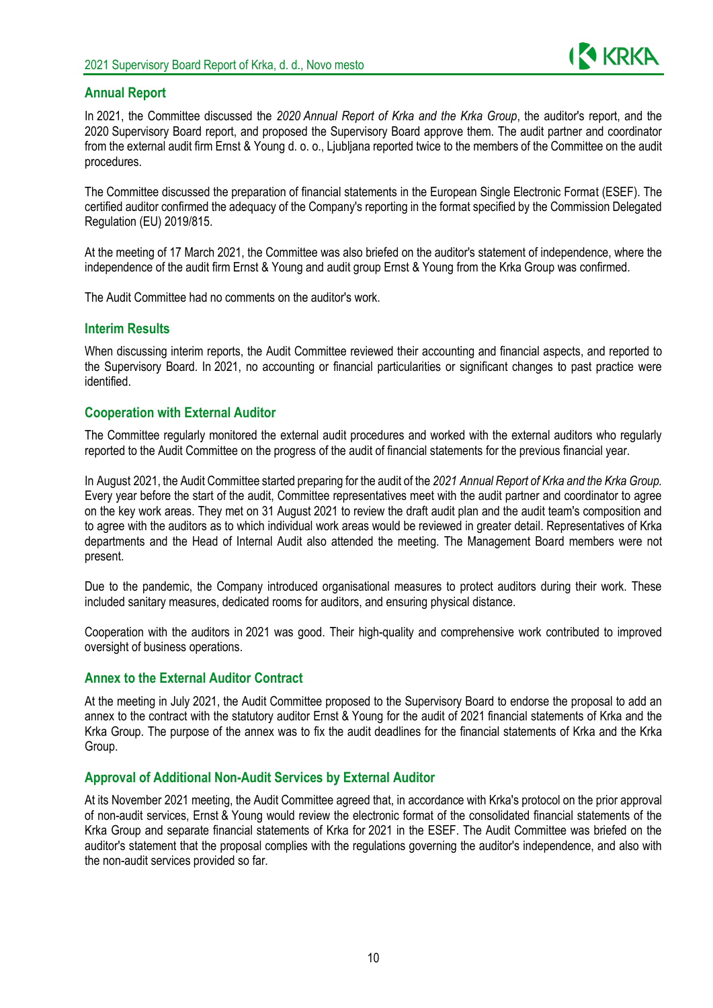

### **Annual Report**

In 2021, the Committee discussed the *2020 Annual Report of Krka and the Krka Group*, the auditor's report, and the 2020 Supervisory Board report, and proposed the Supervisory Board approve them. The audit partner and coordinator from the external audit firm Ernst & Young d. o. o., Ljubljana reported twice to the members of the Committee on the audit procedures.

The Committee discussed the preparation of financial statements in the European Single Electronic Format (ESEF). The certified auditor confirmed the adequacy of the Company's reporting in the format specified by the Commission Delegated Regulation (EU) 2019/815.

At the meeting of 17 March 2021, the Committee was also briefed on the auditor's statement of independence, where the independence of the audit firm Ernst & Young and audit group Ernst & Young from the Krka Group was confirmed.

The Audit Committee had no comments on the auditor's work.

#### **Interim Results**

When discussing interim reports, the Audit Committee reviewed their accounting and financial aspects, and reported to the Supervisory Board. In 2021, no accounting or financial particularities or significant changes to past practice were identified.

#### **Cooperation with External Auditor**

The Committee regularly monitored the external audit procedures and worked with the external auditors who regularly reported to the Audit Committee on the progress of the audit of financial statements for the previous financial year.

In August 2021, the Audit Committee started preparing for the audit of the *2021 Annual Report of Krka and the Krka Group.* Every year before the start of the audit, Committee representatives meet with the audit partner and coordinator to agree on the key work areas. They met on 31 August 2021 to review the draft audit plan and the audit team's composition and to agree with the auditors as to which individual work areas would be reviewed in greater detail. Representatives of Krka departments and the Head of Internal Audit also attended the meeting. The Management Board members were not present.

Due to the pandemic, the Company introduced organisational measures to protect auditors during their work. These included sanitary measures, dedicated rooms for auditors, and ensuring physical distance.

Cooperation with the auditors in 2021 was good. Their high-quality and comprehensive work contributed to improved oversight of business operations.

#### **Annex to the External Auditor Contract**

At the meeting in July 2021, the Audit Committee proposed to the Supervisory Board to endorse the proposal to add an annex to the contract with the statutory auditor Ernst & Young for the audit of 2021 financial statements of Krka and the Krka Group. The purpose of the annex was to fix the audit deadlines for the financial statements of Krka and the Krka Group.

#### **Approval of Additional Non-Audit Services by External Auditor**

At its November 2021 meeting, the Audit Committee agreed that, in accordance with Krka's protocol on the prior approval of non-audit services, Ernst & Young would review the electronic format of the consolidated financial statements of the Krka Group and separate financial statements of Krka for 2021 in the ESEF. The Audit Committee was briefed on the auditor's statement that the proposal complies with the regulations governing the auditor's independence, and also with the non-audit services provided so far.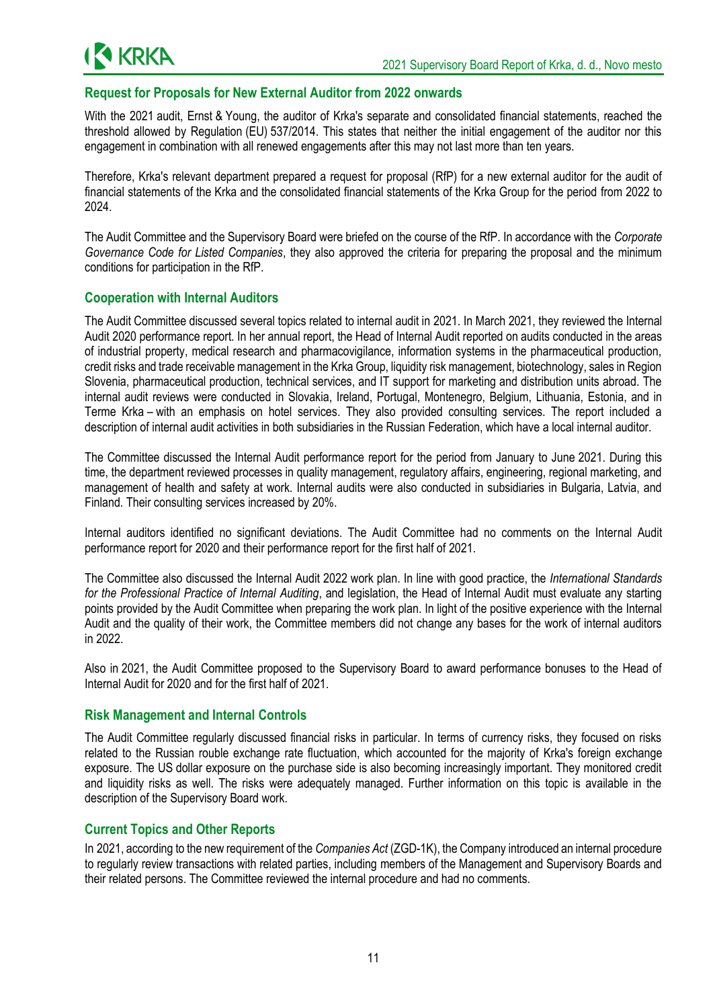

#### **Request for Proposals for New External Auditor from 2022 onwards**

With the 2021 audit. Ernst & Young, the auditor of Krka's separate and consolidated financial statements, reached the threshold allowed by Regulation (EU) 537/2014. This states that neither the initial engagement of the auditor nor this engagement in combination with all renewed engagements after this may not last more than ten years.

Therefore, Krka's relevant department prepared a request for proposal (RfP) for a new external auditor for the audit of financial statements of the Krka and the consolidated financial statements of the Krka Group for the period from 2022 to 2024.

The Audit Committee and the Supervisory Board were briefed on the course of the RfP. In accordance with the *Corporate Governance Code for Listed Companies*, they also approved the criteria for preparing the proposal and the minimum conditions for participation in the RfP.

### **Cooperation with Internal Auditors**

The Audit Committee discussed several topics related to internal audit in 2021. In March 2021, they reviewed the Internal Audit 2020 performance report. In her annual report, the Head of Internal Audit reported on audits conducted in the areas of industrial property, medical research and pharmacovigilance, information systems in the pharmaceutical production, credit risks and trade receivable management in the Krka Group, liquidity risk management, biotechnology, sales in Region Slovenia, pharmaceutical production, technical services, and IT support for marketing and distribution units abroad. The internal audit reviews were conducted in Slovakia, Ireland, Portugal, Montenegro, Belgium, Lithuania, Estonia, and in Terme Krka – with an emphasis on hotel services. They also provided consulting services. The report included a description of internal audit activities in both subsidiaries in the Russian Federation, which have a local internal auditor.

The Committee discussed the Internal Audit performance report for the period from January to June 2021. During this time, the department reviewed processes in quality management, regulatory affairs, engineering, regional marketing, and management of health and safety at work. Internal audits were also conducted in subsidiaries in Bulgaria, Latvia, and Finland. Their consulting services increased by 20%.

Internal auditors identified no significant deviations. The Audit Committee had no comments on the Internal Audit performance report for 2020 and their performance report for the first half of 2021.

The Committee also discussed the Internal Audit 2022 work plan. In line with good practice, the *International Standards for the Professional Practice of Internal Auditing*, and legislation, the Head of Internal Audit must evaluate any starting points provided by the Audit Committee when preparing the work plan. In light of the positive experience with the Internal Audit and the quality of their work, the Committee members did not change any bases for the work of internal auditors in 2022.

Also in 2021, the Audit Committee proposed to the Supervisory Board to award performance bonuses to the Head of Internal Audit for 2020 and for the first half of 2021.

#### **Risk Management and Internal Controls**

The Audit Committee regularly discussed financial risks in particular. In terms of currency risks, they focused on risks related to the Russian rouble exchange rate fluctuation, which accounted for the majority of Krka's foreign exchange exposure. The US dollar exposure on the purchase side is also becoming increasingly important. They monitored credit and liquidity risks as well. The risks were adequately managed. Further information on this topic is available in the description of the Supervisory Board work.

#### **Current Topics and Other Reports**

In 2021, according to the new requirement of the *Companies Act* (ZGD-1K), the Company introduced an internal procedure to regularly review transactions with related parties, including members of the Management and Supervisory Boards and their related persons. The Committee reviewed the internal procedure and had no comments.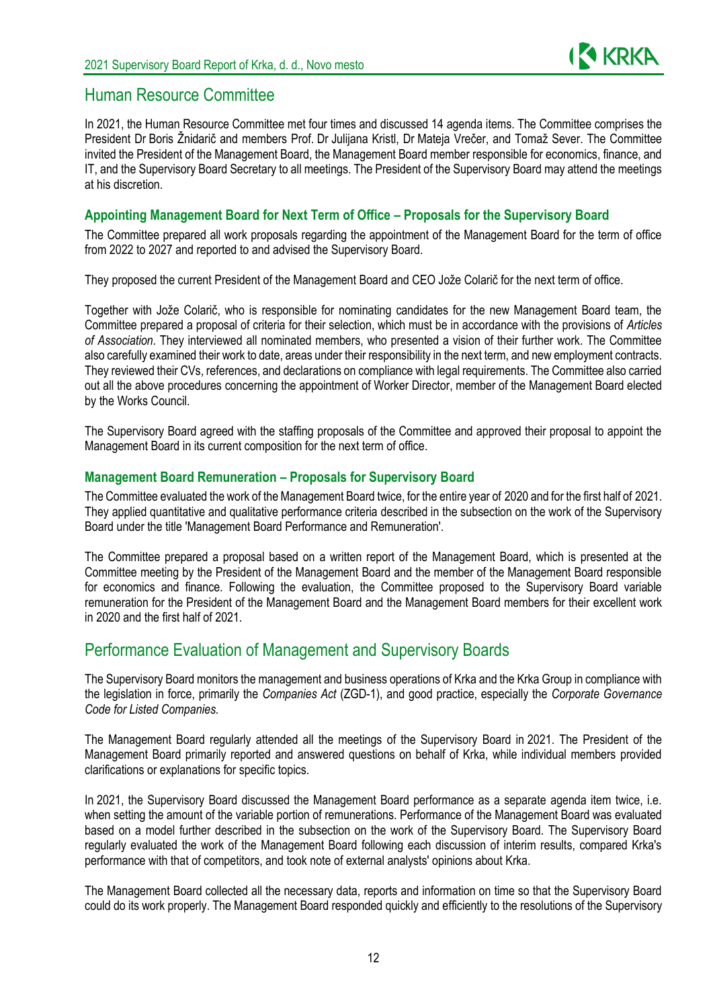

## Human Resource Committee

In 2021, the Human Resource Committee met four times and discussed 14 agenda items. The Committee comprises the President Dr Boris Žnidarič and members Prof. Dr Julijana Kristl, Dr Mateja Vrečer, and Tomaž Sever. The Committee invited the President of the Management Board, the Management Board member responsible for economics, finance, and IT, and the Supervisory Board Secretary to all meetings. The President of the Supervisory Board may attend the meetings at his discretion.

### **Appointing Management Board for Next Term of Office – Proposals for the Supervisory Board**

The Committee prepared all work proposals regarding the appointment of the Management Board for the term of office from 2022 to 2027 and reported to and advised the Supervisory Board.

They proposed the current President of the Management Board and CEO Jože Colarič for the next term of office.

Together with Jože Colarič, who is responsible for nominating candidates for the new Management Board team, the Committee prepared a proposal of criteria for their selection, which must be in accordance with the provisions of *Articles of Association*. They interviewed all nominated members, who presented a vision of their further work. The Committee also carefully examined their work to date, areas under their responsibility in the next term, and new employment contracts. They reviewed their CVs, references, and declarations on compliance with legal requirements. The Committee also carried out all the above procedures concerning the appointment of Worker Director, member of the Management Board elected by the Works Council.

The Supervisory Board agreed with the staffing proposals of the Committee and approved their proposal to appoint the Management Board in its current composition for the next term of office.

#### **Management Board Remuneration – Proposals for Supervisory Board**

The Committee evaluated the work of the Management Board twice, for the entire year of 2020 and for the first half of 2021. They applied quantitative and qualitative performance criteria described in the subsection on the work of the Supervisory Board under the title 'Management Board Performance and Remuneration'.

The Committee prepared a proposal based on a written report of the Management Board, which is presented at the Committee meeting by the President of the Management Board and the member of the Management Board responsible for economics and finance. Following the evaluation, the Committee proposed to the Supervisory Board variable remuneration for the President of the Management Board and the Management Board members for their excellent work in 2020 and the first half of 2021.

## Performance Evaluation of Management and Supervisory Boards

The Supervisory Board monitors the management and business operations of Krka and the Krka Group in compliance with the legislation in force, primarily the *Companies Act* (ZGD-1), and good practice, especially the *Corporate Governance Code for Listed Companies.*

The Management Board regularly attended all the meetings of the Supervisory Board in 2021. The President of the Management Board primarily reported and answered questions on behalf of Krka, while individual members provided clarifications or explanations for specific topics.

In 2021, the Supervisory Board discussed the Management Board performance as a separate agenda item twice, i.e. when setting the amount of the variable portion of remunerations. Performance of the Management Board was evaluated based on a model further described in the subsection on the work of the Supervisory Board. The Supervisory Board regularly evaluated the work of the Management Board following each discussion of interim results, compared Krka's performance with that of competitors, and took note of external analysts' opinions about Krka.

The Management Board collected all the necessary data, reports and information on time so that the Supervisory Board could do its work properly. The Management Board responded quickly and efficiently to the resolutions of the Supervisory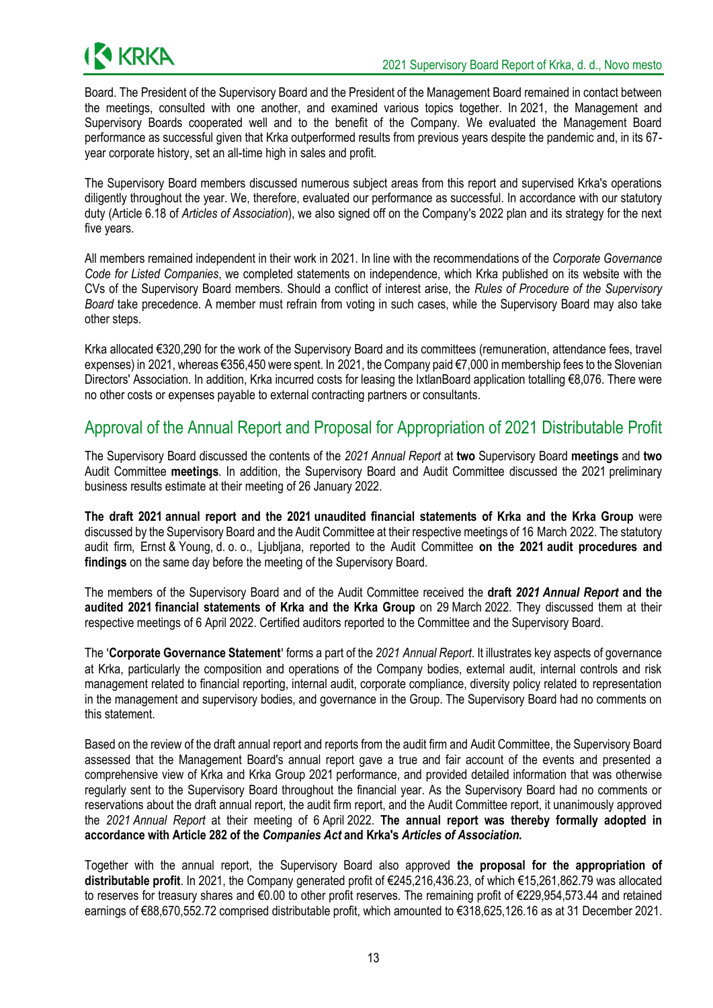

Board. The President of the Supervisory Board and the President of the Management Board remained in contact between the meetings, consulted with one another, and examined various topics together. In 2021, the Management and Supervisory Boards cooperated well and to the benefit of the Company. We evaluated the Management Board performance as successful given that Krka outperformed results from previous years despite the pandemic and, in its 67 year corporate history, set an all-time high in sales and profit.

The Supervisory Board members discussed numerous subject areas from this report and supervised Krka's operations diligently throughout the year. We, therefore, evaluated our performance as successful. In accordance with our statutory duty (Article 6.18 of *Articles of Association*), we also signed off on the Company's 2022 plan and its strategy for the next five years.

All members remained independent in their work in 2021. In line with the recommendations of the *Corporate Governance Code for Listed Companies*, we completed statements on independence, which Krka published on its website with the CVs of the Supervisory Board members. Should a conflict of interest arise, the *Rules of Procedure of the Supervisory Board* take precedence. A member must refrain from voting in such cases, while the Supervisory Board may also take other steps.

Krka allocated €320,290 for the work of the Supervisory Board and its committees (remuneration, attendance fees, travel expenses) in 2021, whereas €356,450 were spent. In 2021, the Company paid €7,000 in membership fees to the Slovenian Directors' Association. In addition, Krka incurred costs for leasing the IxtlanBoard application totalling €8,076. There were no other costs or expenses payable to external contracting partners or consultants.

## Approval of the Annual Report and Proposal for Appropriation of 2021 Distributable Profit

The Supervisory Board discussed the contents of the *2021 Annual Report* at **two** Supervisory Board **meetings** and **two**  Audit Committee **meetings**. In addition, the Supervisory Board and Audit Committee discussed the 2021 preliminary business results estimate at their meeting of 26 January 2022.

**The draft 2021 annual report and the 2021 unaudited financial statements of Krka and the Krka Group** were discussed by the Supervisory Board and the Audit Committee at their respective meetings of 16 March 2022. The statutory audit firm, Ernst & Young, d. o. o., Ljubljana, reported to the Audit Committee **on the 2021 audit procedures and findings** on the same day before the meeting of the Supervisory Board.

The members of the Supervisory Board and of the Audit Committee received the **draft** *2021 Annual Report* **and the audited 2021 financial statements of Krka and the Krka Group** on 29 March 2022. They discussed them at their respective meetings of 6 April 2022. Certified auditors reported to the Committee and the Supervisory Board.

The '**Corporate Governance Statement**' forms a part of the *2021 Annual Report*. It illustrates key aspects of governance at Krka, particularly the composition and operations of the Company bodies, external audit, internal controls and risk management related to financial reporting, internal audit, corporate compliance, diversity policy related to representation in the management and supervisory bodies, and governance in the Group. The Supervisory Board had no comments on this statement.

Based on the review of the draft annual report and reports from the audit firm and Audit Committee, the Supervisory Board assessed that the Management Board's annual report gave a true and fair account of the events and presented a comprehensive view of Krka and Krka Group 2021 performance, and provided detailed information that was otherwise regularly sent to the Supervisory Board throughout the financial year. As the Supervisory Board had no comments or reservations about the draft annual report, the audit firm report, and the Audit Committee report, it unanimously approved the *2021 Annual Report* at their meeting of 6 April 2022. **The annual report was thereby formally adopted in accordance with Article 282 of the** *Companies Act* **and Krka's** *Articles of Association***.**

Together with the annual report, the Supervisory Board also approved **the proposal for the appropriation of distributable profit**. In 2021, the Company generated profit of €245,216,436.23, of which €15,261,862.79 was allocated to reserves for treasury shares and €0.00 to other profit reserves. The remaining profit of €229,954,573.44 and retained earnings of €88,670,552.72 comprised distributable profit, which amounted to €318,625,126.16 as at 31 December 2021.